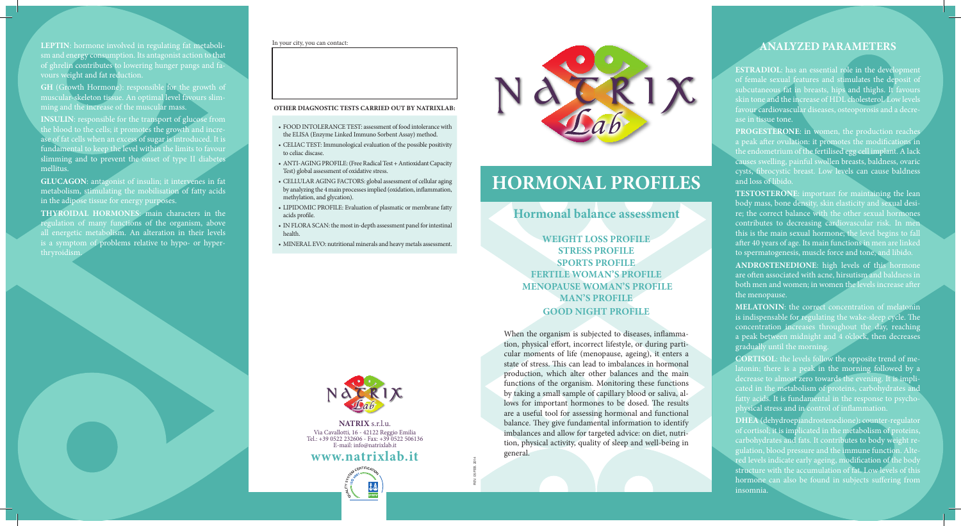REV. 05 FEB. 2014

**NATRIX** s.r.l.u. Via Cavallotti, 16 - 42122 Reggio Emilia Tel.: +39 0522 232606 - Fax: +39 0522 506136 E-mail: info@natrixlab.it

**LEPTIN**: hormone involved in regulating fat metabolism and energy consumption. Its antagonist action to that of ghrelin contributes to lowering hunger pangs and favours weight and fat reduction.

GH (Growth Hormone): responsible for the growth of muscular-skeleton tissue. An optimal level favours slimming and the increase of the muscular mass.

**INSULIN:** responsible for the transport of glucose from the blood to the cells; it promotes the growth and increase of fat cells when an excess of sugar is introduced. It is fundamental to keep the level within the limits to favour slimming and to prevent the onset of type II diabetes mellitus.

**ESTRADIOL:** has an essential role in the development of female sexual features and stimulates the deposit of subcutaneous fat in breasts, hips and thighs. It favours skin tone and the increase of HDL cholesterol. Low levels favour cardiovascular diseases, osteoporosis and a decrease in tissue tone.

**GLUCAGON**: antagonist of insulin; it intervenes in fat metabolism, stimulating the mobilisation of fatty acids in the adipose tissue for energy purposes.

**PROGESTERONE:** in women, the production reaches a peak after ovulation: it promotes the modifications in the endometrium of the fertilised egg cell implant. A lack causes swelling, painful swollen breasts, baldness, ovaric cysts, fibrocystic breast. Low levels can cause baldness and loss of libido.

**THYROIDAL HORMONES**: main characters in the regulation of many functions of the organism, above all energetic metabolism. An alteration in their levels is a symptom of problems relative to hypo- or hyperthryroidism.

## **ANALYZED PARAMETERS**

**TESTOSTERONE**: important for maintaining the lean body mass, bone density, skin elasticity and sexual desire; the correct balance with the other sexual hormones contributes to decreasing cardiovascular risk. In men this is the main sexual hormone; the level begins to fall after 40 years of age. Its main functions in men are linked to spermatogenesis, muscle force and tone, and libido.

**ANDROSTENEDIONE**: high levels of this hormone are often associated with acne, hirsutism and baldness in both men and women; in women the levels increase after the menopause.

**MELATONIN**: the correct concentration of melatonin is indispensable for regulating the wake-sleep cycle. The concentration increases throughout the day, reaching a peak between midnight and 4 o'clock, then decreases gradually until the morning.

**CORTISOL**: the levels follow the opposite trend of melatonin; there is a peak in the morning followed by a decrease to almost zero towards the evening. It is implicated in the metabolism of proteins, carbohydrates and fatty acids. It is fundamental in the response to psychophysical stress and in control of inflammation.

**DHEA** (dehydroepiandrostenedione)**:** counter-regulator of cortisol; it is implicated in the metabolism of proteins, carbohydrates and fats. It contributes to body weight regulation, blood pressure and the immune function. Altered levels indicate early ageing, modification of the body structure with the accumulation of fat. Low levels of this hormone can also be found in subjects suffering from insomnia.

When the organism is subjected to diseases, inflammation, physical effort, incorrect lifestyle, or during particular moments of life (menopause, ageing), it enters a state of stress. This can lead to imbalances in hormonal production, which alter other balances and the main functions of the organism. Monitoring these functions by taking a small sample of capillary blood or saliva, allows for important hormones to be dosed. The results are a useful tool for assessing hormonal and functional balance. They give fundamental information to identify imbalances and allow for targeted advice: on diet, nutrition, physical activity, quality of sleep and well-being in general.



**WEIGHT LOSS PROFILE STRESS PROFILE SPORTS PROFILE FERTILE WOMAN'S PROFILE MENOPAUSE WOMAN'S PROFILE MAN'S PROFILE GOOD NIGHT PROFILE**

## **Hormonal balance assessment**

# **HORMONAL PROFILES**

#### **OTHER DIAGNOSTIC TESTS CARRIED OUT BY NATRIXLAB:**

- FOOD INTOLERANCE TEST: assessment of food intolerance with the ELISA (Enzyme Linked Immuno Sorbent Assay) method.
- CELIAC TEST: Immunological evaluation of the possible positivity to celiac discase.
- ANTI-AGING PROFILE: (Free Radical Test + Antioxidant Capacity Test) global assessment of oxidative stress.
- CELLULAR AGING FACTORS: global assessment of cellular aging by analyzing the 4 main processes implied (oxidation, inflammation, methylation, and glycation).
- LIPIDOMIC PROFILE: Evaluation of plasmatic or membrane fatty acids profile.
- IN FLORA SCAN: the most in-depth assessment panel for intestinal health.
- MINERAL EVO: nutritional minerals and heavy metals assessment.



In your city, you can contact:

# **www.natrixlab.it**